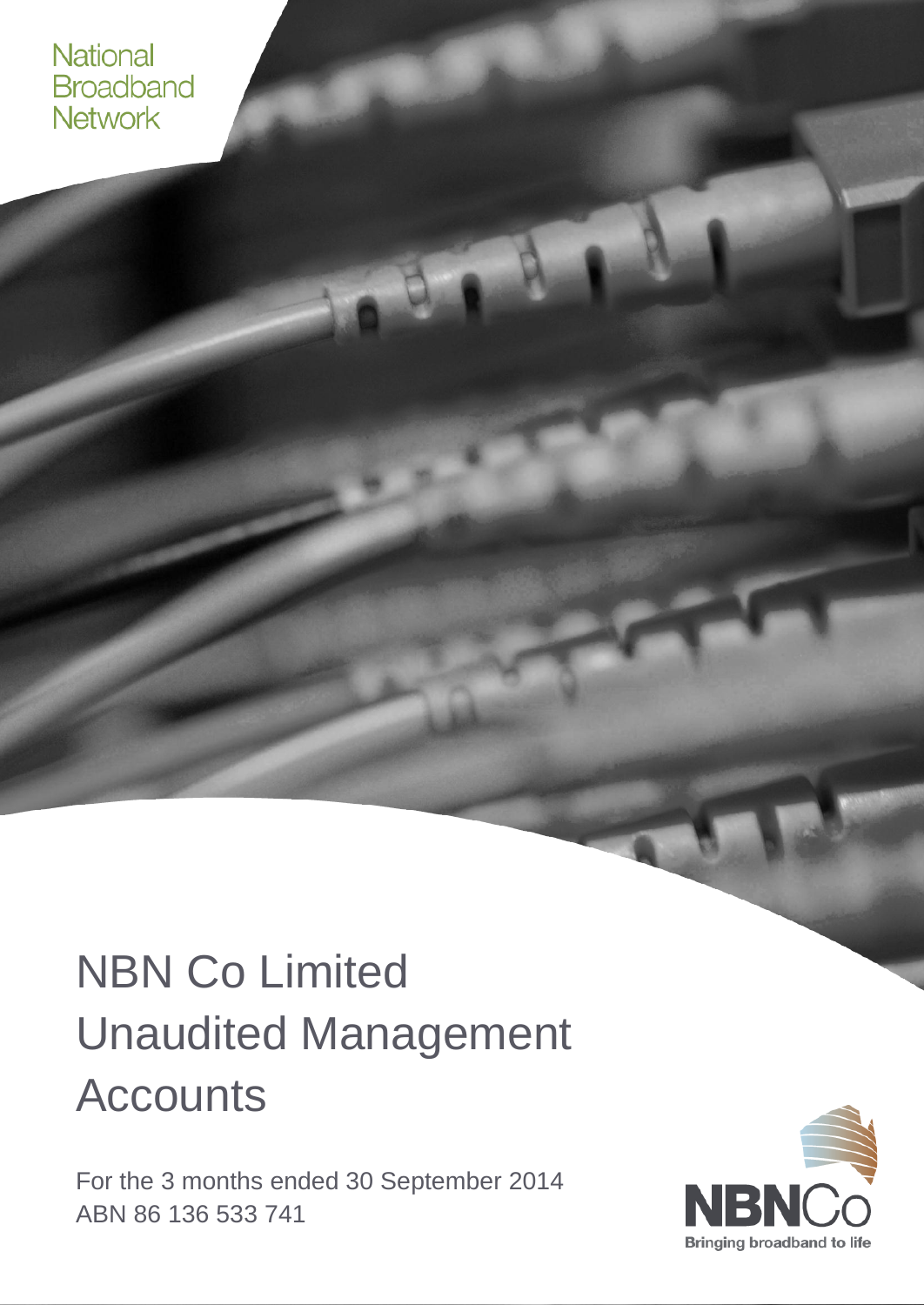#### **National Broadband** Network

# NBN Co Limited Unaudited Management **Accounts**

For the 3 months ended 30 September 2014 ABN 86 136 533 741

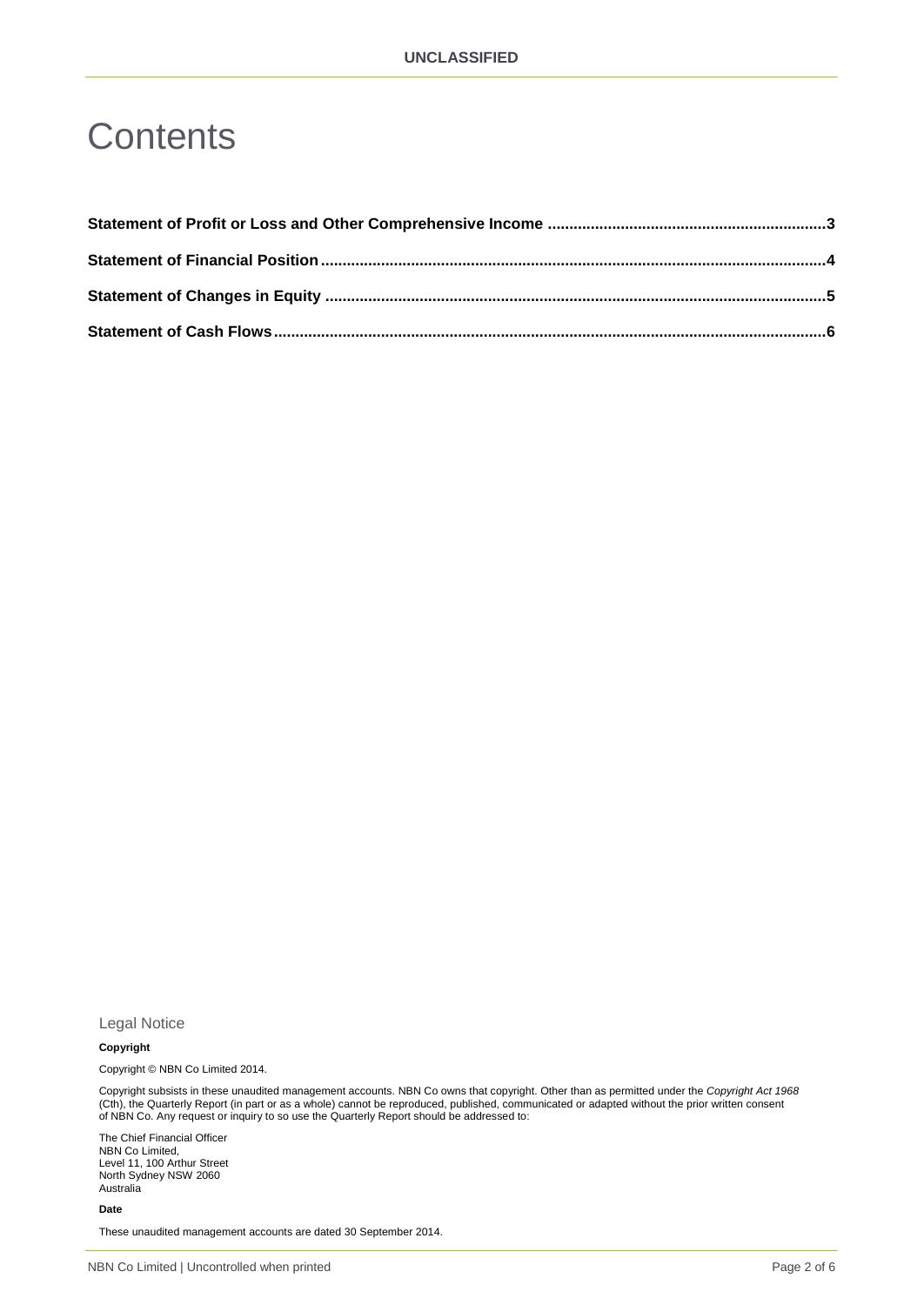#### **Contents**

Legal Notice

#### **Copyright**

Copyright © NBN Co Limited 2014.

Copyright subsists in these unaudited management accounts. NBN Co owns that copyright. Other than as permitted under the *Copyright Act 1968* (Cth), the Quarterly Report (in part or as a whole) cannot be reproduced, published, communicated or adapted without the prior written consent of NBN Co. Any request or inquiry to so use the Quarterly Report should be addressed to:

The Chief Financial Officer NBN Co Limited, Level 11, 100 Arthur Street North Sydney NSW 2060 Australia

**Date**

These unaudited management accounts are dated 30 September 2014.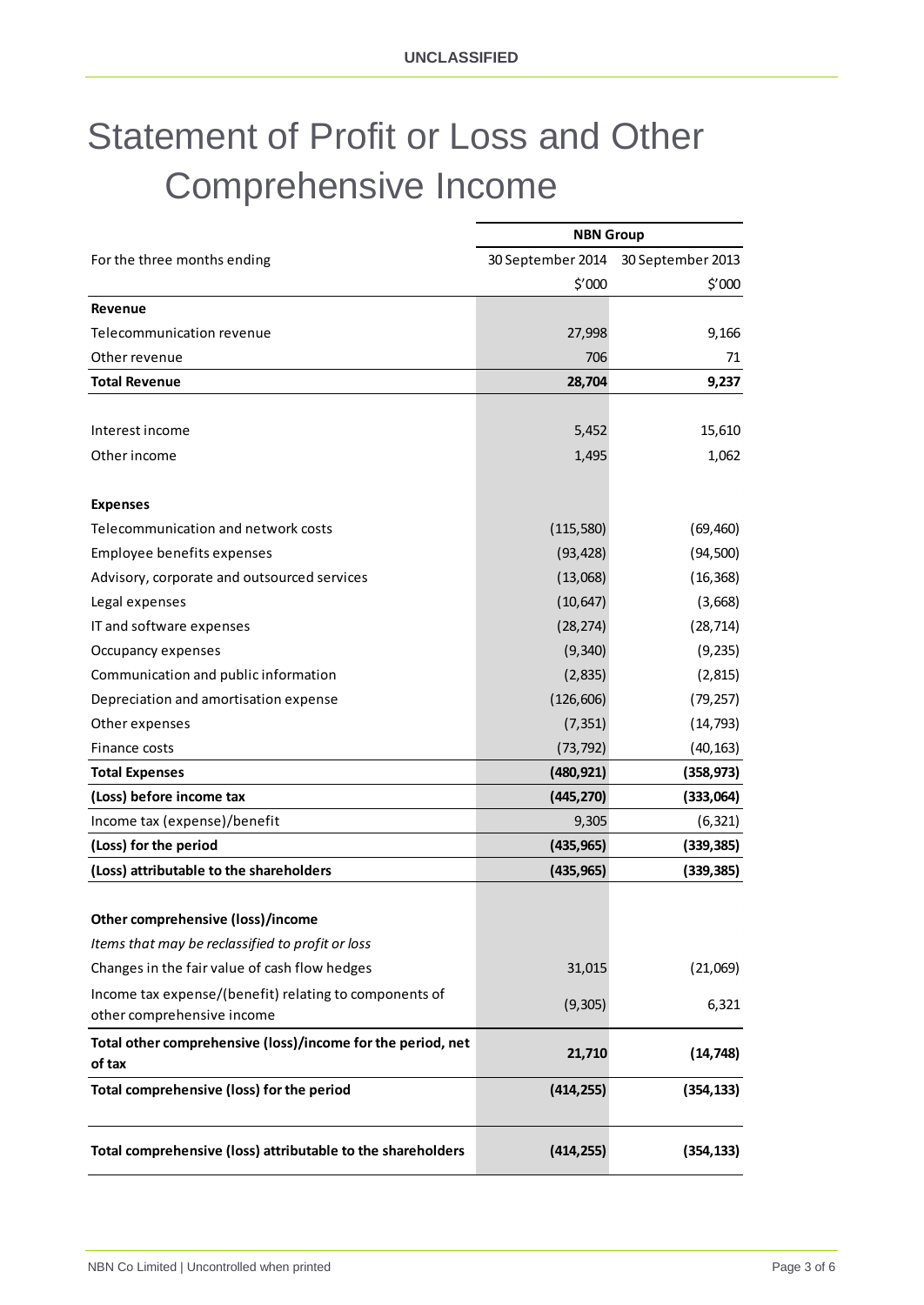## <span id="page-2-0"></span>Statement of Profit or Loss and Other Comprehensive Income

|                                                                       | <b>NBN Group</b>  |                   |
|-----------------------------------------------------------------------|-------------------|-------------------|
| For the three months ending                                           | 30 September 2014 | 30 September 2013 |
|                                                                       | \$′000            | $$^{\prime}000$   |
| Revenue                                                               |                   |                   |
| Telecommunication revenue                                             | 27,998            | 9,166             |
| Other revenue                                                         | 706               | 71                |
| <b>Total Revenue</b>                                                  | 28,704            | 9,237             |
|                                                                       |                   |                   |
| Interest income                                                       | 5,452             | 15,610            |
| Other income                                                          | 1,495             | 1,062             |
|                                                                       |                   |                   |
| <b>Expenses</b>                                                       |                   |                   |
| Telecommunication and network costs                                   | (115, 580)        | (69, 460)         |
| Employee benefits expenses                                            | (93, 428)         | (94, 500)         |
| Advisory, corporate and outsourced services                           | (13,068)          | (16, 368)         |
| Legal expenses                                                        | (10, 647)         | (3,668)           |
| IT and software expenses                                              | (28, 274)         | (28, 714)         |
| Occupancy expenses                                                    | (9, 340)          | (9, 235)          |
| Communication and public information                                  | (2,835)           | (2, 815)          |
| Depreciation and amortisation expense                                 | (126, 606)        | (79, 257)         |
| Other expenses                                                        | (7, 351)          | (14, 793)         |
| Finance costs                                                         | (73, 792)         | (40, 163)         |
| <b>Total Expenses</b>                                                 | (480, 921)        | (358, 973)        |
| (Loss) before income tax                                              | (445, 270)        | (333,064)         |
| Income tax (expense)/benefit                                          | 9,305             | (6, 321)          |
| (Loss) for the period                                                 | (435, 965)        | (339, 385)        |
| (Loss) attributable to the shareholders                               | (435, 965)        | (339, 385)        |
|                                                                       |                   |                   |
| Other comprehensive (loss)/income                                     |                   |                   |
| Items that may be reclassified to profit or loss                      |                   |                   |
| Changes in the fair value of cash flow hedges                         | 31,015            | (21,069)          |
| Income tax expense/(benefit) relating to components of                | (9, 305)          | 6,321             |
| other comprehensive income                                            |                   |                   |
| Total other comprehensive (loss)/income for the period, net<br>of tax | 21,710            | (14, 748)         |
| Total comprehensive (loss) for the period                             | (414, 255)        | (354, 133)        |
| Total comprehensive (loss) attributable to the shareholders           | (414, 255)        | (354, 133)        |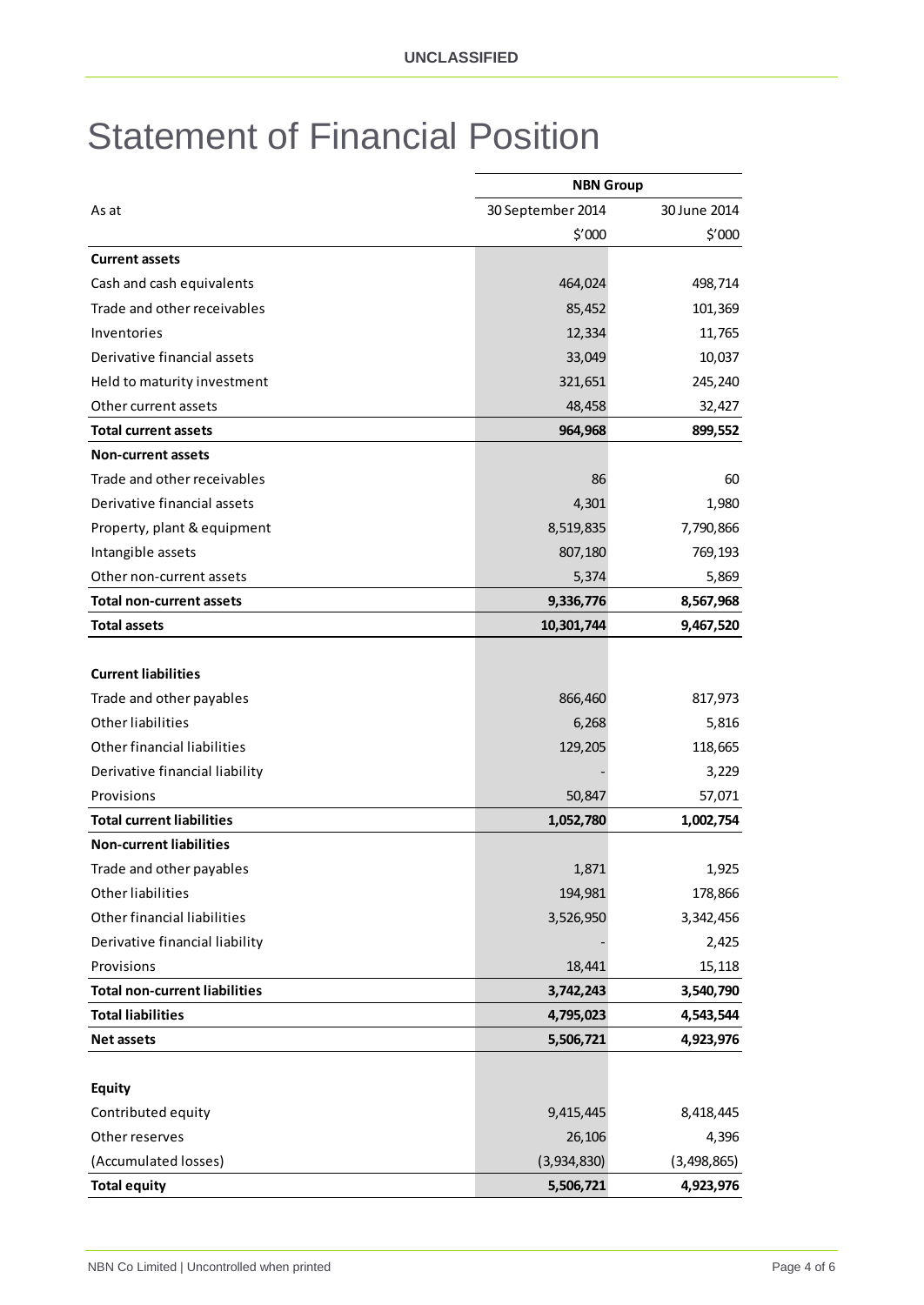#### <span id="page-3-0"></span>Statement of Financial Position

|                                      | <b>NBN Group</b>  |              |
|--------------------------------------|-------------------|--------------|
| As at                                | 30 September 2014 | 30 June 2014 |
|                                      | $$^{\prime}000$   | \$′000       |
| <b>Current assets</b>                |                   |              |
| Cash and cash equivalents            | 464,024           | 498,714      |
| Trade and other receivables          | 85,452            | 101,369      |
| Inventories                          | 12,334            | 11,765       |
| Derivative financial assets          | 33,049            | 10,037       |
| Held to maturity investment          | 321,651           | 245,240      |
| Other current assets                 | 48,458            | 32,427       |
| <b>Total current assets</b>          | 964,968           | 899,552      |
| <b>Non-current assets</b>            |                   |              |
| Trade and other receivables          | 86                | 60           |
| Derivative financial assets          | 4,301             | 1,980        |
| Property, plant & equipment          | 8,519,835         | 7,790,866    |
| Intangible assets                    | 807,180           | 769,193      |
| Other non-current assets             | 5,374             | 5,869        |
| <b>Total non-current assets</b>      | 9,336,776         | 8,567,968    |
| <b>Total assets</b>                  | 10,301,744        | 9,467,520    |
|                                      |                   |              |
| <b>Current liabilities</b>           |                   |              |
| Trade and other payables             | 866,460           | 817,973      |
| Other liabilities                    | 6,268             | 5,816        |
| Other financial liabilities          | 129,205           | 118,665      |
| Derivative financial liability       |                   | 3,229        |
| Provisions                           | 50,847            | 57,071       |
| <b>Total current liabilities</b>     | 1,052,780         | 1,002,754    |
| <b>Non-current liabilities</b>       |                   |              |
| Trade and other payables             | 1,871             | 1,925        |
| Other liabilities                    | 194,981           | 178,866      |
| Other financial liabilities          | 3,526,950         | 3,342,456    |
| Derivative financial liability       |                   | 2,425        |
| Provisions                           | 18,441            | 15,118       |
| <b>Total non-current liabilities</b> | 3,742,243         | 3,540,790    |
| <b>Total liabilities</b>             | 4,795,023         | 4,543,544    |
| <b>Net assets</b>                    | 5,506,721         | 4,923,976    |
|                                      |                   |              |
| <b>Equity</b>                        |                   |              |
| Contributed equity                   | 9,415,445         | 8,418,445    |
| Other reserves                       | 26,106            | 4,396        |
| (Accumulated losses)                 | (3,934,830)       | (3,498,865)  |
| <b>Total equity</b>                  | 5,506,721         | 4,923,976    |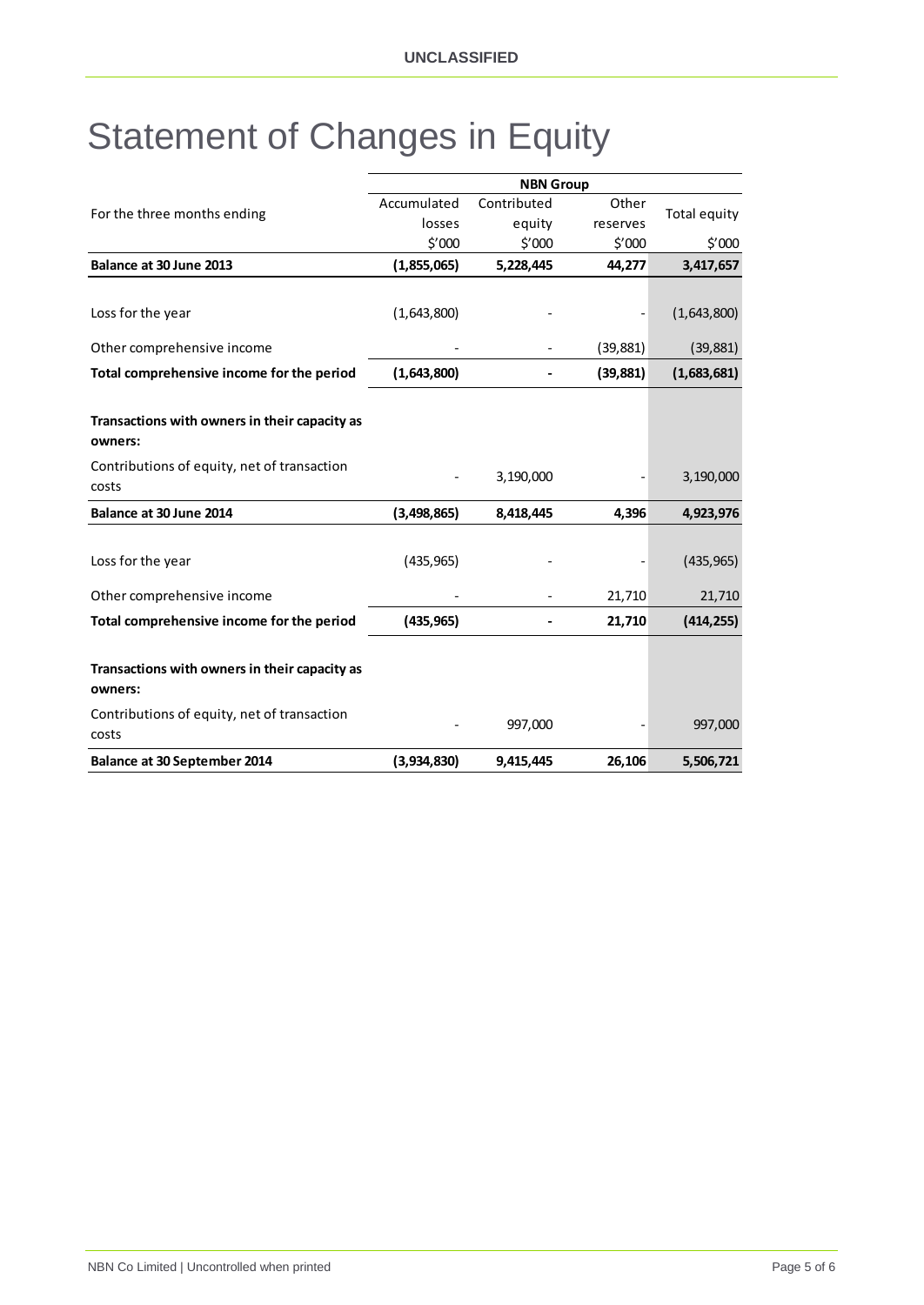### <span id="page-4-0"></span>Statement of Changes in Equity

|                                                          | <b>NBN Group</b> |             |                 |              |
|----------------------------------------------------------|------------------|-------------|-----------------|--------------|
|                                                          | Accumulated      | Contributed | Other           |              |
| For the three months ending                              | losses           | equity      | reserves        | Total equity |
|                                                          | \$′000           | \$'000      | $$^{\prime}000$ | \$′000       |
| Balance at 30 June 2013                                  | (1,855,065)      | 5,228,445   | 44,277          | 3,417,657    |
|                                                          |                  |             |                 |              |
| Loss for the year                                        | (1,643,800)      |             |                 | (1,643,800)  |
| Other comprehensive income                               |                  |             | (39, 881)       | (39, 881)    |
| Total comprehensive income for the period                | (1,643,800)      |             | (39, 881)       | (1,683,681)  |
|                                                          |                  |             |                 |              |
| Transactions with owners in their capacity as<br>owners: |                  |             |                 |              |
| Contributions of equity, net of transaction<br>costs     |                  | 3,190,000   |                 | 3,190,000    |
| Balance at 30 June 2014                                  | (3,498,865)      | 8,418,445   | 4,396           | 4,923,976    |
|                                                          |                  |             |                 |              |
| Loss for the year                                        | (435, 965)       |             |                 | (435, 965)   |
| Other comprehensive income                               |                  |             | 21,710          | 21,710       |
| Total comprehensive income for the period                | (435, 965)       |             | 21,710          | (414, 255)   |
|                                                          |                  |             |                 |              |
| Transactions with owners in their capacity as<br>owners: |                  |             |                 |              |
| Contributions of equity, net of transaction              |                  |             |                 | 997,000      |
| costs                                                    |                  | 997,000     |                 |              |
| <b>Balance at 30 September 2014</b>                      | (3,934,830)      | 9,415,445   | 26,106          | 5,506,721    |